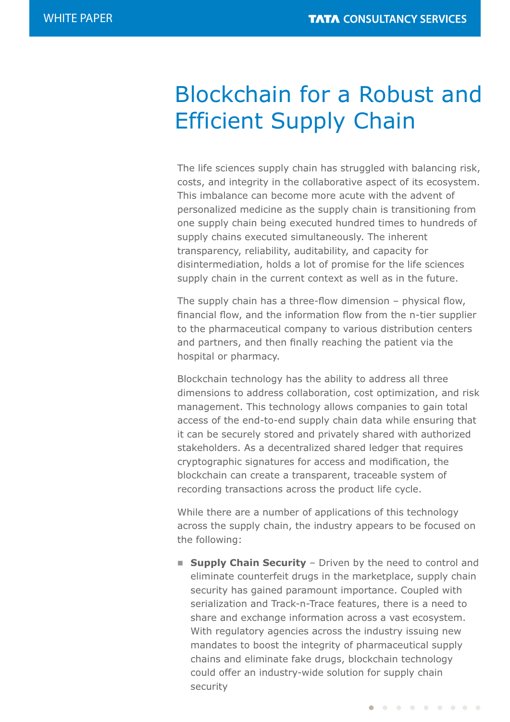# Blockchain for a Robust and Efficient Supply Chain

The life sciences supply chain has struggled with balancing risk, costs, and integrity in the collaborative aspect of its ecosystem. This imbalance can become more acute with the advent of personalized medicine as the supply chain is transitioning from one supply chain being executed hundred times to hundreds of supply chains executed simultaneously. The inherent transparency, reliability, auditability, and capacity for disintermediation, holds a lot of promise for the life sciences supply chain in the current context as well as in the future.

The supply chain has a three-flow dimension – physical flow, financial flow, and the information flow from the n-tier supplier to the pharmaceutical company to various distribution centers and partners, and then finally reaching the patient via the hospital or pharmacy.

Blockchain technology has the ability to address all three dimensions to address collaboration, cost optimization, and risk management. This technology allows companies to gain total access of the end-to-end supply chain data while ensuring that it can be securely stored and privately shared with authorized stakeholders. As a decentralized shared ledger that requires cryptographic signatures for access and modification, the blockchain can create a transparent, traceable system of recording transactions across the product life cycle.

While there are a number of applications of this technology across the supply chain, the industry appears to be focused on the following:

**E** Supply Chain Security - Driven by the need to control and eliminate counterfeit drugs in the marketplace, supply chain security has gained paramount importance. Coupled with serialization and Track-n-Trace features, there is a need to share and exchange information across a vast ecosystem. With regulatory agencies across the industry issuing new mandates to boost the integrity of pharmaceutical supply chains and eliminate fake drugs, blockchain technology could offer an industry-wide solution for supply chain security

. . . . . . . . .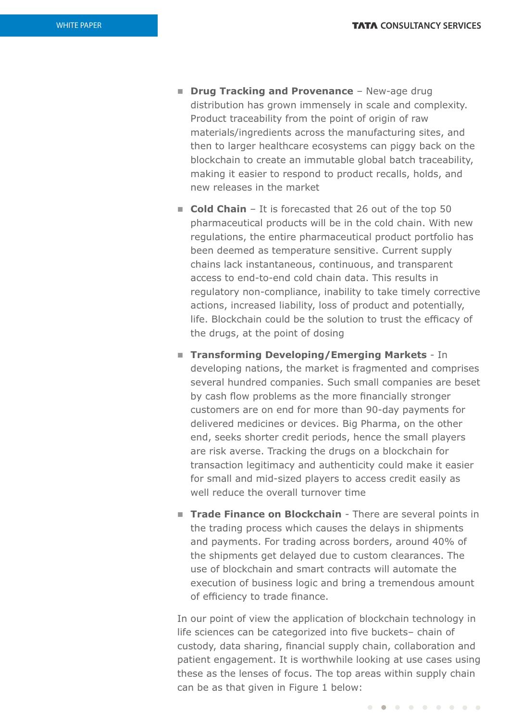- **n Drug Tracking and Provenance** New-age drug distribution has grown immensely in scale and complexity. Product traceability from the point of origin of raw materials/ingredients across the manufacturing sites, and then to larger healthcare ecosystems can piggy back on the blockchain to create an immutable global batch traceability, making it easier to respond to product recalls, holds, and new releases in the market
- **Cold Chain** It is forecasted that 26 out of the top 50 pharmaceutical products will be in the cold chain. With new regulations, the entire pharmaceutical product portfolio has been deemed as temperature sensitive. Current supply chains lack instantaneous, continuous, and transparent access to end-to-end cold chain data. This results in regulatory non-compliance, inability to take timely corrective actions, increased liability, loss of product and potentially, life. Blockchain could be the solution to trust the efficacy of the drugs, at the point of dosing
- **Figure 15 Transforming Developing/Emerging Markets** In developing nations, the market is fragmented and comprises several hundred companies. Such small companies are beset by cash flow problems as the more financially stronger customers are on end for more than 90-day payments for delivered medicines or devices. Big Pharma, on the other end, seeks shorter credit periods, hence the small players are risk averse. Tracking the drugs on a blockchain for transaction legitimacy and authenticity could make it easier for small and mid-sized players to access credit easily as well reduce the overall turnover time
- **Trade Finance on Blockchain** There are several points in the trading process which causes the delays in shipments and payments. For trading across borders, around 40% of the shipments get delayed due to custom clearances. The use of blockchain and smart contracts will automate the execution of business logic and bring a tremendous amount of efficiency to trade finance.

In our point of view the application of blockchain technology in life sciences can be categorized into five buckets– chain of custody, data sharing, financial supply chain, collaboration and patient engagement. It is worthwhile looking at use cases using these as the lenses of focus. The top areas within supply chain can be as that given in Figure 1 below:

. . . . . . . . .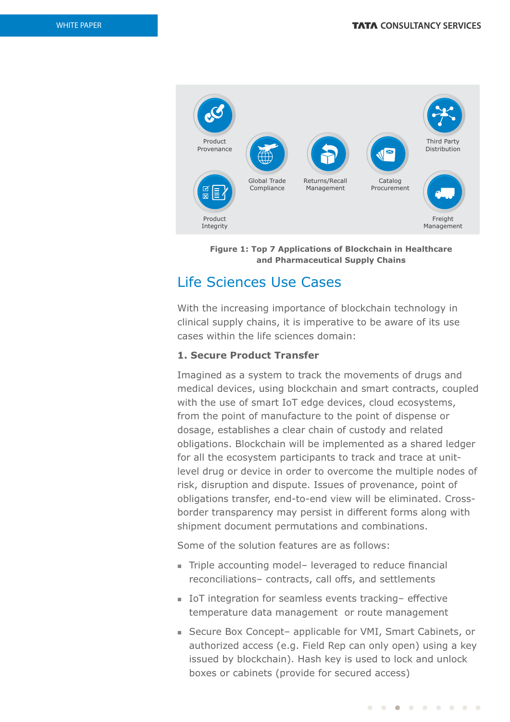

**Figure 1: Top 7 Applications of Blockchain in Healthcare and Pharmaceutical Supply Chains**

# Life Sciences Use Cases

With the increasing importance of blockchain technology in clinical supply chains, it is imperative to be aware of its use cases within the life sciences domain:

# **1. Secure Product Transfer**

Imagined as a system to track the movements of drugs and medical devices, using blockchain and smart contracts, coupled with the use of smart IoT edge devices, cloud ecosystems, from the point of manufacture to the point of dispense or dosage, establishes a clear chain of custody and related obligations. Blockchain will be implemented as a shared ledger for all the ecosystem participants to track and trace at unitlevel drug or device in order to overcome the multiple nodes of risk, disruption and dispute. Issues of provenance, point of obligations transfer, end-to-end view will be eliminated. Crossborder transparency may persist in different forms along with shipment document permutations and combinations.

Some of the solution features are as follows:

- Triple accounting model– leveraged to reduce financial reconciliations– contracts, call offs, and settlements
- IoT integration for seamless events tracking– effective temperature data management or route management
- Secure Box Concept- applicable for VMI, Smart Cabinets, or authorized access (e.g. Field Rep can only open) using a key issued by blockchain). Hash key is used to lock and unlock boxes or cabinets (provide for secured access)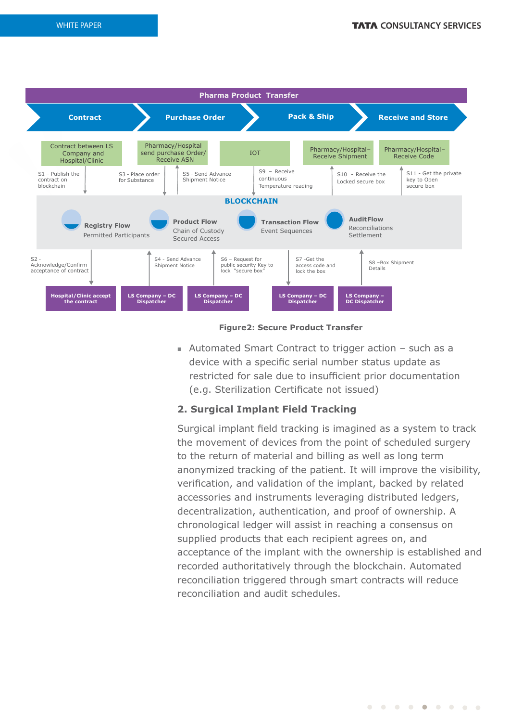

## **Figure2: Secure Product Transfer**

 $\blacksquare$  Automated Smart Contract to trigger action – such as a device with a specific serial number status update as restricted for sale due to insufficient prior documentation (e.g. Sterilization Certificate not issued)

# **2. Surgical Implant Field Tracking**

Surgical implant field tracking is imagined as a system to track the movement of devices from the point of scheduled surgery to the return of material and billing as well as long term anonymized tracking of the patient. It will improve the visibility, verification, and validation of the implant, backed by related accessories and instruments leveraging distributed ledgers, decentralization, authentication, and proof of ownership. A chronological ledger will assist in reaching a consensus on supplied products that each recipient agrees on, and acceptance of the implant with the ownership is established and recorded authoritatively through the blockchain. Automated reconciliation triggered through smart contracts will reduce reconciliation and audit schedules.

. . . . . . . . .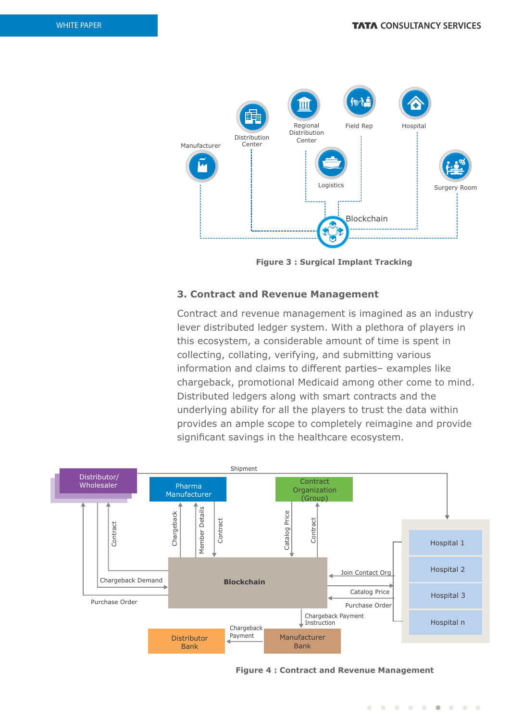

**Figure 3 : Surgical Implant Tracking**

# **3. Contract and Revenue Management**

Contract and revenue management is imagined as an industry lever distributed ledger system. With a plethora of players in this ecosystem, a considerable amount of time is spent in collecting, collating, verifying, and submitting various information and claims to different parties– examples like chargeback, promotional Medicaid among other come to mind. Distributed ledgers along with smart contracts and the underlying ability for all the players to trust the data within provides an ample scope to completely reimagine and provide significant savings in the healthcare ecosystem.



**Figure 4 : Contract and Revenue Management**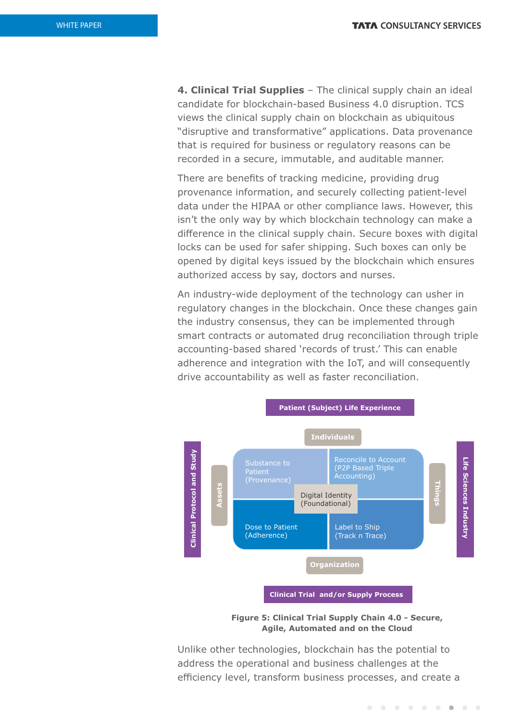**4. Clinical Trial Supplies** – The clinical supply chain an ideal candidate for blockchain-based Business 4.0 disruption. TCS views the clinical supply chain on blockchain as ubiquitous "disruptive and transformative" applications. Data provenance that is required for business or regulatory reasons can be recorded in a secure, immutable, and auditable manner.

There are benefits of tracking medicine, providing drug provenance information, and securely collecting patient-level data under the HIPAA or other compliance laws. However, this isn't the only way by which blockchain technology can make a difference in the clinical supply chain. Secure boxes with digital locks can be used for safer shipping. Such boxes can only be opened by digital keys issued by the blockchain which ensures authorized access by say, doctors and nurses.

An industry-wide deployment of the technology can usher in regulatory changes in the blockchain. Once these changes gain the industry consensus, they can be implemented through smart contracts or automated drug reconciliation through triple accounting-based shared 'records of trust.' This can enable adherence and integration with the IoT, and will consequently drive accountability as well as faster reconciliation.



**Figure 5: Clinical Trial Supply Chain 4.0 - Secure, Agile, Automated and on the Cloud**

Unlike other technologies, blockchain has the potential to address the operational and business challenges at the efficiency level, transform business processes, and create a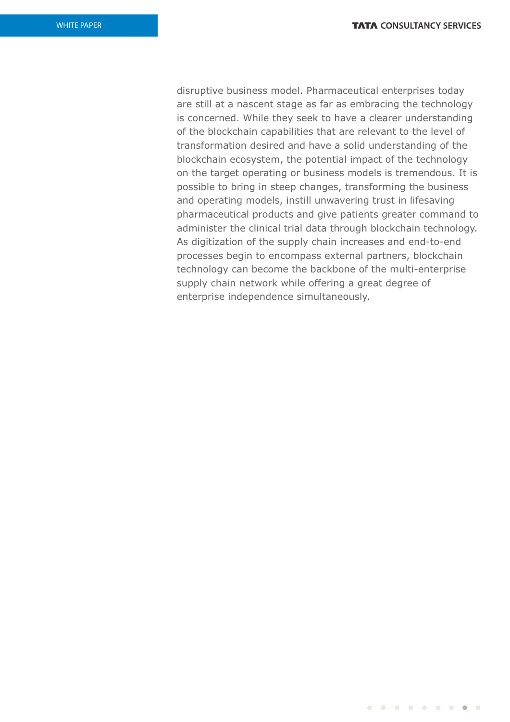. . . . . . . . .

disruptive business model. Pharmaceutical enterprises today are still at a nascent stage as far as embracing the technology is concerned. While they seek to have a clearer understanding of the blockchain capabilities that are relevant to the level of transformation desired and have a solid understanding of the blockchain ecosystem, the potential impact of the technology on the target operating or business models is tremendous. It is possible to bring in steep changes, transforming the business and operating models, instill unwavering trust in lifesaving pharmaceutical products and give patients greater command to administer the clinical trial data through blockchain technology. As digitization of the supply chain increases and end-to-end processes begin to encompass external partners, blockchain technology can become the backbone of the multi-enterprise supply chain network while offering a great degree of enterprise independence simultaneously.